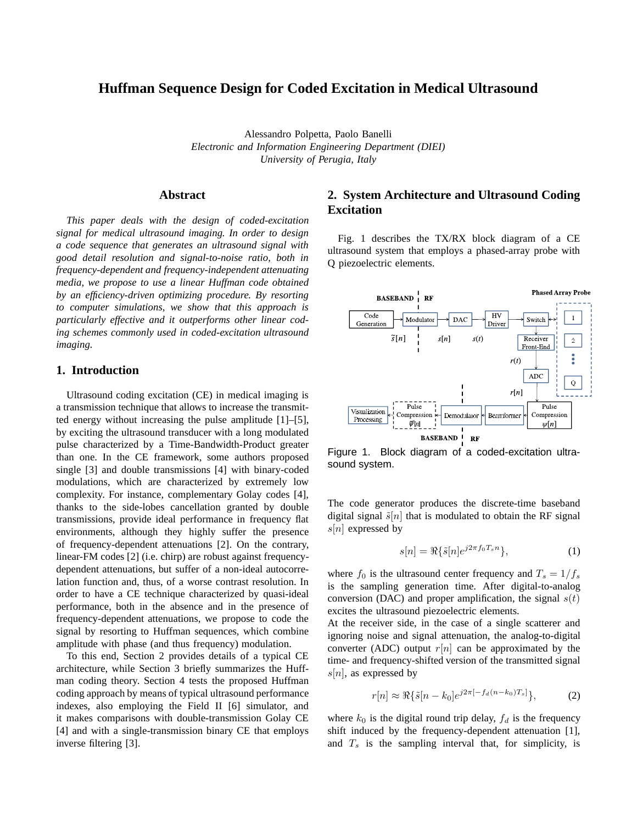# **Huffman Sequence Design for Coded Excitation in Medical Ultrasound**

Alessandro Polpetta, Paolo Banelli *Electronic and Information Engineering Department (DIEI) University of Perugia, Italy*

### **Abstract**

*This paper deals with the design of coded-excitation signal for medical ultrasound imaging. In order to design a code sequence that generates an ultrasound signal with good detail resolution and signal-to-noise ratio, both in frequency-dependent and frequency-independent attenuating media, we propose to use a linear Huffman code obtained by an efficiency-driven optimizing procedure. By resorting to computer simulations, we show that this approach is particularly effective and it outperforms other linear coding schemes commonly used in coded-excitation ultrasound imaging.*

## **1. Introduction**

Ultrasound coding excitation (CE) in medical imaging is a transmission technique that allows to increase the transmitted energy without increasing the pulse amplitude [1]–[5], by exciting the ultrasound transducer with a long modulated pulse characterized by a Time-Bandwidth-Product greater than one. In the CE framework, some authors proposed single [3] and double transmissions [4] with binary-coded modulations, which are characterized by extremely low complexity. For instance, complementary Golay codes [4], thanks to the side-lobes cancellation granted by double transmissions, provide ideal performance in frequency flat environments, although they highly suffer the presence of frequency-dependent attenuations [2]. On the contrary, linear-FM codes [2] (i.e. chirp) are robust against frequencydependent attenuations, but suffer of a non-ideal autocorrelation function and, thus, of a worse contrast resolution. In order to have a CE technique characterized by quasi-ideal performance, both in the absence and in the presence of frequency-dependent attenuations, we propose to code the signal by resorting to Huffman sequences, which combine amplitude with phase (and thus frequency) modulation.

To this end, Section 2 provides details of a typical CE architecture, while Section 3 briefly summarizes the Huffman coding theory. Section 4 tests the proposed Huffman coding approach by means of typical ultrasound performance indexes, also employing the Field II [6] simulator, and it makes comparisons with double-transmission Golay CE [4] and with a single-transmission binary CE that employs inverse filtering [3].

# **2. System Architecture and Ultrasound Coding Excitation**

Fig. 1 describes the TX/RX block diagram of a CE ultrasound system that employs a phased-array probe with Q piezoelectric elements.



Figure 1. Block diagram of a coded-excitation ultrasound system.

The code generator produces the discrete-time baseband digital signal  $\tilde{s}[n]$  that is modulated to obtain the RF signal  $s[n]$  expressed by

$$
s[n] = \Re{\{\tilde{s}[n]e^{j2\pi f_0 T_s n}\}},\tag{1}
$$

where  $f_0$  is the ultrasound center frequency and  $T_s = 1/f_s$ is the sampling generation time. After digital-to-analog conversion (DAC) and proper amplification, the signal  $s(t)$ excites the ultrasound piezoelectric elements.

At the receiver side, in the case of a single scatterer and ignoring noise and signal attenuation, the analog-to-digital converter (ADC) output  $r[n]$  can be approximated by the time- and frequency-shifted version of the transmitted signal  $s[n]$ , as expressed by

$$
r[n] \approx \Re{\{\tilde{s}[n-k_0]e^{j2\pi[-f_d(n-k_0)T_s]}\}},\tag{2}
$$

where  $k_0$  is the digital round trip delay,  $f_d$  is the frequency shift induced by the frequency-dependent attenuation [1], and  $T_s$  is the sampling interval that, for simplicity, is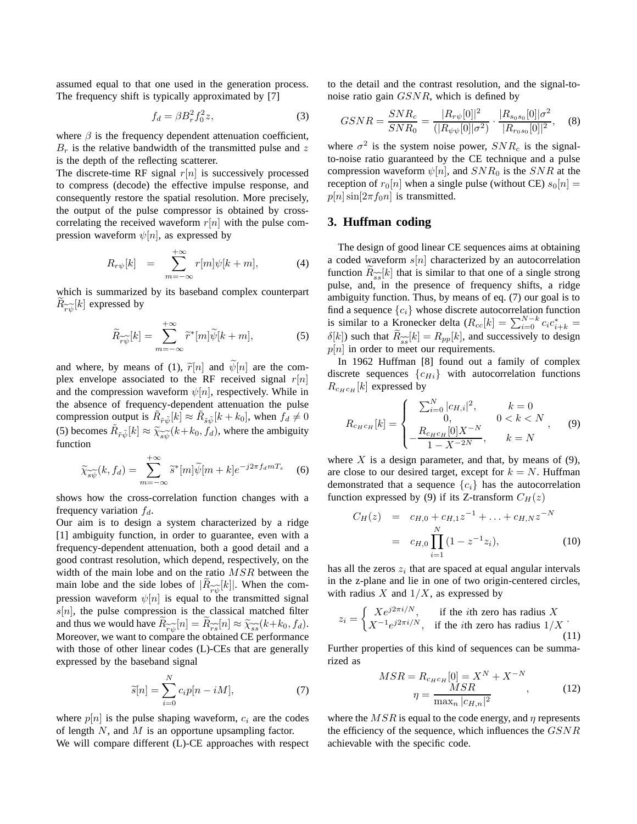assumed equal to that one used in the generation process. The frequency shift is typically approximated by [7]

$$
f_d = \beta B_r^2 f_0^2 z,\tag{3}
$$

where  $\beta$  is the frequency dependent attenuation coefficient,  $B<sub>r</sub>$  is the relative bandwidth of the transmitted pulse and z is the depth of the reflecting scatterer.

The discrete-time RF signal  $r[n]$  is successively processed to compress (decode) the effective impulse response, and consequently restore the spatial resolution. More precisely, the output of the pulse compressor is obtained by crosscorrelating the received waveform  $r[n]$  with the pulse compression waveform  $\psi[n]$ , as expressed by

$$
R_{r\psi}[k] = \sum_{m=-\infty}^{+\infty} r[m]\psi[k+m], \tag{4}
$$

which is summarized by its baseband complex counterpart  $R_{\widetilde{r\psi}}[k]$  expressed by

$$
\widetilde{R}_{\widetilde{r}\widetilde{\psi}}[k] = \sum_{m = -\infty}^{+\infty} \widetilde{r}^*[m]\widetilde{\psi}[k+m],\tag{5}
$$

and where, by means of (1),  $\tilde{r}[n]$  and  $\tilde{\psi}[n]$  are the complex envelope associated to the RF received signal  $r[n]$ and the compression waveform  $\psi[n]$ , respectively. While in the absence of frequency-dependent attenuation the pulse compression output is  $\tilde{R}_{\tilde{r}\tilde{\psi}}[k] \approx \tilde{R}_{\tilde{s}\tilde{\psi}}[k+k_0]$ , when  $f_d \neq 0$ (5) becomes  $\tilde{R}_{\tilde{r}\tilde{\psi}}[k] \approx \tilde{\chi}_{\tilde{s}\tilde{\psi}}(k+k_0, f_d)$ , where the ambiguity function function

$$
\widetilde{\chi}_{\widetilde{\mathfrak{so}}}(k, f_d) = \sum_{m = -\infty}^{+\infty} \widetilde{s}^*[m] \widetilde{\psi}[m+k] e^{-j2\pi f_d m T_s} \quad (6)
$$

shows how the cross-correlation function changes with a frequency variation  $f_d$ .

Our aim is to design a system characterized by a ridge [1] ambiguity function, in order to guarantee, even with a frequency-dependent attenuation, both a good detail and a good contrast resolution, which depend, respectively, on the width of the main lobe and on the ratio MSR between the main lobe and the side lobes of  $|R_{\widetilde{rv}}(k)|$ . When the comerginal to the transmitted signal pression waveform  $\psi[n]$  is equal to the transmitted signal  $s[n]$ , the pulse compression is the classical matched filter and thus we would have  $R_{\widetilde{\gamma\varphi}}[n] = R_{\widetilde{\gamma s}}[n] \approx \widetilde{\chi_{ss}}(k+k_0, f_d)$ .<br>Moreover we want to compare the obtained CE performance Moreover, we want to compare the obtained CE performance with those of other linear codes (L)-CEs that are generally expressed by the baseband signal

$$
\widetilde{s}[n] = \sum_{i=0}^{N} c_i p[n - iM],\tag{7}
$$

where  $p[n]$  is the pulse shaping waveform,  $c_i$  are the codes of length  $N$ , and  $M$  is an opportune upsampling factor.

We will compare different (L)-CE approaches with respect

to the detail and the contrast resolution, and the signal-tonoise ratio gain GSNR, which is defined by

$$
GSNR = \frac{SNR_c}{SNR_0} = \frac{|R_{r\psi}[0]|^2}{(|R_{\psi\psi}[0]| \sigma^2)} \cdot \frac{|R_{s_0s_0}[0]| \sigma^2}{|R_{r_0s_0}[0]|^2},
$$
 (8)

where  $\sigma^2$  is the system noise power,  $SNR_c$  is the signalto-noise ratio guaranteed by the CE technique and a pulse compression waveform  $\psi[n]$ , and  $SNR_0$  is the  $SNR$  at the reception of  $r_0[n]$  when a single pulse (without CE)  $s_0[n] =$  $p[n]$ sin $[2\pi f_0n]$  is transmitted.

### **3. Huffman coding**

The design of good linear CE sequences aims at obtaining a coded waveform  $s[n]$  characterized by an autocorrelation function  $R_{\widetilde{\mathcal{ss}}}[k]$  that is similar to that one of a single strong pulse, and, in the presence of frequency shifts, a ridge pulse, ambiguity function. Thus, by means of eq. (7) our goal is to find a sequence  ${c_i}$  whose discrete autocorrelation function is similar to a Kronecker delta  $(R_{cc}[k]) = \sum_{i=0}^{N-k} c_i c_{i+k}^* =$  $\delta[k]$ ) such that  $R_{ss}[k] = R_{pp}[k]$ , and successively to design  $p[n]$  in order to meet our requirements.

In 1962 Huffman [8] found out a family of complex discrete sequences  ${c_{Hi}}$  with autocorrelation functions  $R_{c_H c_H}[k]$  expressed by

$$
R_{c_{H}c_{H}}[k] = \begin{cases} \sum_{i=0}^{N} |c_{H,i}|^{2}, & k=0\\ 0, & 0 < k < N\\ -\frac{R_{c_{H}c_{H}}[0]X^{-N}}{1 - X^{-2N}}, & k=N \end{cases}
$$
(9)

where X is a design parameter, and that, by means of  $(9)$ , are close to our desired target, except for  $k = N$ . Huffman demonstrated that a sequence  ${c_i}$  has the autocorrelation function expressed by (9) if its Z-transform  $C_H(z)$ 

$$
C_H(z) = c_{H,0} + c_{H,1}z^{-1} + \dots + c_{H,N}z^{-N}
$$
  
=  $c_{H,0} \prod_{i=1}^{N} (1 - z^{-1}z_i),$  (10)

has all the zeros  $z_i$  that are spaced at equal angular intervals in the z-plane and lie in one of two origin-centered circles, with radius  $X$  and  $1/X$ , as expressed by

$$
z_i = \begin{cases} X e^{j2\pi i/N}, & \text{if the } i\text{th zero has radius } X\\ X^{-1} e^{j2\pi i/N}, & \text{if the } i\text{th zero has radius } 1/X \end{cases} \tag{11}
$$

Further properties of this kind of sequences can be summarized as

$$
MSR = R_{c_H c_H} [0] = X^N + X^{-N}
$$

$$
\eta = \frac{MSR}{\max_n |c_{H,n}|^2},
$$
(12)

where the  $MSR$  is equal to the code energy, and  $\eta$  represents the efficiency of the sequence, which influences the GSNR achievable with the specific code.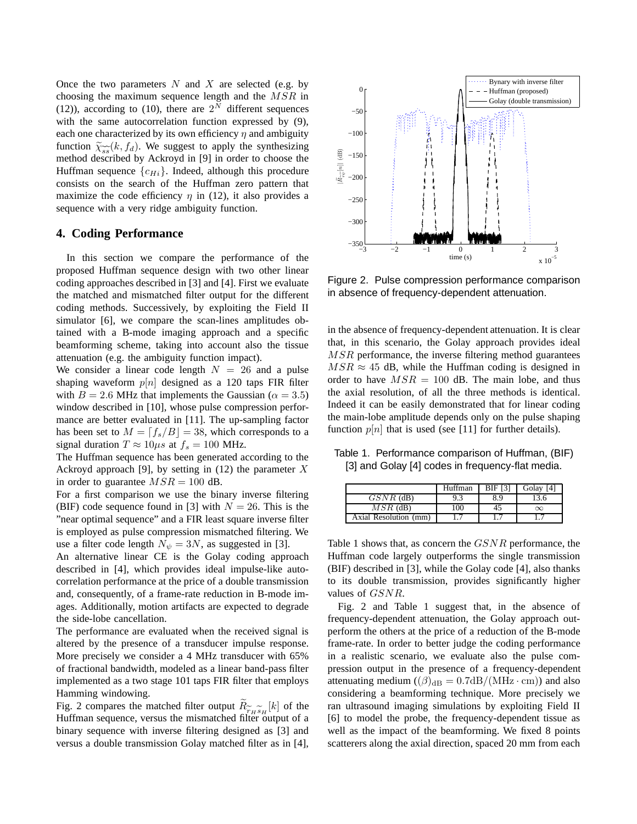Once the two parameters  $N$  and  $X$  are selected (e.g. by choosing the maximum sequence length and the MSR in (12)), according to (10), there are  $2^N$  different sequences with the same autocorrelation function expressed by (9), each one characterized by its own efficiency  $\eta$  and ambiguity function  $\widetilde{\chi}_{ss}(k, f_d)$ . We suggest to apply the synthesizing method described by Ackroyd in [9] in order to choose the method described by Ackroyd in [9] in order to choose the Huffman sequence  ${c_{Hi}}$ . Indeed, although this procedure consists on the search of the Huffman zero pattern that maximize the code efficiency  $\eta$  in (12), it also provides a sequence with a very ridge ambiguity function.

### **4. Coding Performance**

In this section we compare the performance of the proposed Huffman sequence design with two other linear coding approaches described in [3] and [4]. First we evaluate the matched and mismatched filter output for the different coding methods. Successively, by exploiting the Field II simulator [6], we compare the scan-lines amplitudes obtained with a B-mode imaging approach and a specific beamforming scheme, taking into account also the tissue attenuation (e.g. the ambiguity function impact).

We consider a linear code length  $N = 26$  and a pulse shaping waveform  $p[n]$  designed as a 120 taps FIR filter with  $B = 2.6$  MHz that implements the Gaussian ( $\alpha = 3.5$ ) window described in [10], whose pulse compression performance are better evaluated in [11]. The up-sampling factor has been set to  $M = \lfloor f_s/B \rfloor = 38$ , which corresponds to a signal duration  $T \approx 10 \mu s$  at  $f_s = 100$  MHz.

The Huffman sequence has been generated according to the Ackroyd approach [9], by setting in  $(12)$  the parameter X in order to guarantee  $MSR = 100$  dB.

For a first comparison we use the binary inverse filtering (BIF) code sequence found in [3] with  $N = 26$ . This is the "near optimal sequence" and a FIR least square inverse filter is employed as pulse compression mismatched filtering. We use a filter code length  $N_{\psi} = 3N$ , as suggested in [3].

An alternative linear CE is the Golay coding approach described in [4], which provides ideal impulse-like autocorrelation performance at the price of a double transmission and, consequently, of a frame-rate reduction in B-mode images. Additionally, motion artifacts are expected to degrade the side-lobe cancellation.

The performance are evaluated when the received signal is altered by the presence of a transducer impulse response. More precisely we consider a 4 MHz transducer with 65% of fractional bandwidth, modeled as a linear band-pass filter implemented as a two stage 101 taps FIR filter that employs Hamming windowing.

Fig. 2 compares the matched filter output  $R_{\widetilde{r}_H \widetilde{s}_H}[k]$  of the Fig. 2 compares the matched filter output  $\mathcal{H}_{r_H s_H}^{r_H s_H}$  of the Huffman sequence, versus the mismatched filter output of a binary sequence with inverse filtering designed as [3] and versus a double transmission Golay matched filter as in [4],



Figure 2. Pulse compression performance comparison in absence of frequency-dependent attenuation.

in the absence of frequency-dependent attenuation. It is clear that, in this scenario, the Golay approach provides ideal MSR performance, the inverse filtering method guarantees  $MSR \approx 45$  dB, while the Huffman coding is designed in order to have  $MSR = 100$  dB. The main lobe, and thus the axial resolution, of all the three methods is identical. Indeed it can be easily demonstrated that for linear coding the main-lobe amplitude depends only on the pulse shaping function  $p[n]$  that is used (see [11] for further details).

Table 1. Performance comparison of Huffman, (BIF) [3] and Golay [4] codes in frequency-flat media.

|                       | Huffman | <b>BIF [3]</b> | Golav [4] |
|-----------------------|---------|----------------|-----------|
| $GSNR$ (dB)           | 9.3     | 8.9            | 13.6      |
| $MSR$ (dB)            | 100     | 45             | $\infty$  |
| Axial Resolution (mm) |         |                |           |

Table 1 shows that, as concern the GSNR performance, the Huffman code largely outperforms the single transmission (BIF) described in [3], while the Golay code [4], also thanks to its double transmission, provides significantly higher values of GSNR.

Fig. 2 and Table 1 suggest that, in the absence of frequency-dependent attenuation, the Golay approach outperform the others at the price of a reduction of the B-mode frame-rate. In order to better judge the coding performance in a realistic scenario, we evaluate also the pulse compression output in the presence of a frequency-dependent attenuating medium  $((\beta)_{dB} = 0.7dB/(MHz \cdot cm))$  and also considering a beamforming technique. More precisely we ran ultrasound imaging simulations by exploiting Field II [6] to model the probe, the frequency-dependent tissue as well as the impact of the beamforming. We fixed 8 points scatterers along the axial direction, spaced 20 mm from each